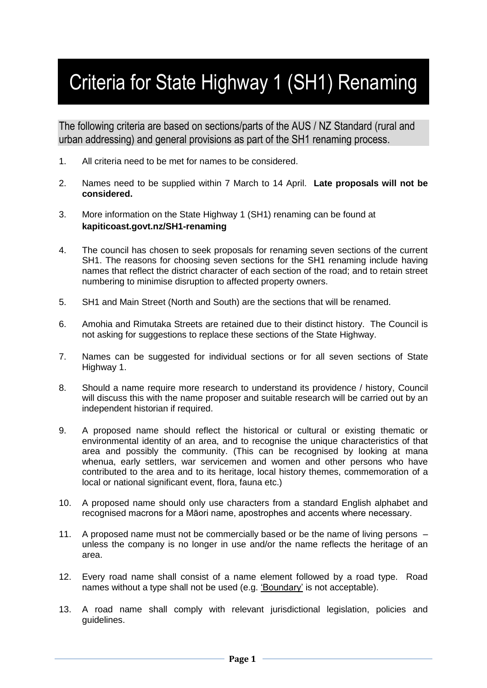## Criteria for State Highway 1 (SH1) Renaming

The following criteria are based on sections/parts of the AUS / NZ Standard (rural and urban addressing) and general provisions as part of the SH1 renaming process.

- 1. All criteria need to be met for names to be considered.
- 2. Names need to be supplied within 7 March to 14 April. **Late proposals will not be considered.**
- 3. More information on the State Highway 1 (SH1) renaming can be found at **kapiticoast.govt.nz/SH1-renaming**
- 4. The council has chosen to seek proposals for renaming seven sections of the current SH1. The reasons for choosing seven sections for the SH1 renaming include having names that reflect the district character of each section of the road; and to retain street numbering to minimise disruption to affected property owners.
- 5. SH1 and Main Street (North and South) are the sections that will be renamed.
- 6. Amohia and Rimutaka Streets are retained due to their distinct history. The Council is not asking for suggestions to replace these sections of the State Highway.
- 7. Names can be suggested for individual sections or for all seven sections of State Highway 1.
- 8. Should a name require more research to understand its providence / history, Council will discuss this with the name proposer and suitable research will be carried out by an independent historian if required.
- 9. A proposed name should reflect the historical or cultural or existing thematic or environmental identity of an area, and to recognise the unique characteristics of that area and possibly the community. (This can be recognised by looking at mana whenua, early settlers, war servicemen and women and other persons who have contributed to the area and to its heritage, local history themes, commemoration of a local or national significant event, flora, fauna etc.)
- 10. A proposed name should only use characters from a standard English alphabet and recognised macrons for a Māori name, apostrophes and accents where necessary.
- 11. A proposed name must not be commercially based or be the name of living persons unless the company is no longer in use and/or the name reflects the heritage of an area.
- 12. Every road name shall consist of a name element followed by a road type. Road names without a type shall not be used (e.g. 'Boundary' is not acceptable).
- 13. A road name shall comply with relevant jurisdictional legislation, policies and guidelines.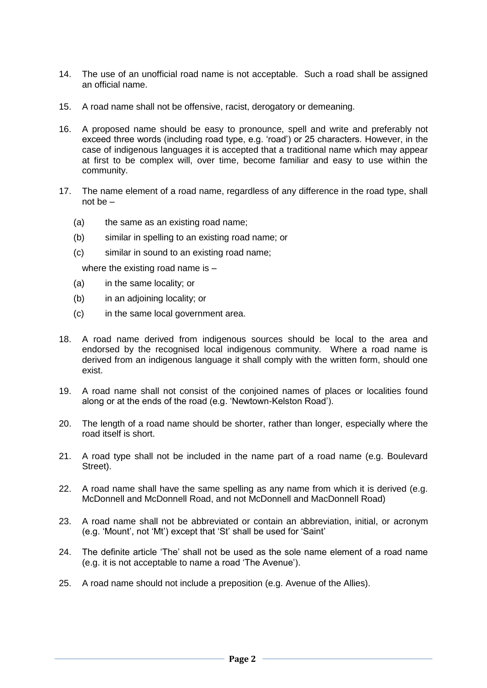- 14. The use of an unofficial road name is not acceptable. Such a road shall be assigned an official name.
- 15. A road name shall not be offensive, racist, derogatory or demeaning.
- 16. A proposed name should be easy to pronounce, spell and write and preferably not exceed three words (including road type, e.g. 'road') or 25 characters. However, in the case of indigenous languages it is accepted that a traditional name which may appear at first to be complex will, over time, become familiar and easy to use within the community.
- 17. The name element of a road name, regardless of any difference in the road type, shall not be –
	- (a) the same as an existing road name;
	- (b) similar in spelling to an existing road name; or
	- (c) similar in sound to an existing road name;

where the existing road name is -

- (a) in the same locality; or
- (b) in an adjoining locality; or
- (c) in the same local government area.
- 18. A road name derived from indigenous sources should be local to the area and endorsed by the recognised local indigenous community. Where a road name is derived from an indigenous language it shall comply with the written form, should one exist.
- 19. A road name shall not consist of the conjoined names of places or localities found along or at the ends of the road (e.g. 'Newtown-Kelston Road').
- 20. The length of a road name should be shorter, rather than longer, especially where the road itself is short.
- 21. A road type shall not be included in the name part of a road name (e.g. Boulevard Street).
- 22. A road name shall have the same spelling as any name from which it is derived (e.g. McDonnell and McDonnell Road, and not McDonnell and MacDonnell Road)
- 23. A road name shall not be abbreviated or contain an abbreviation, initial, or acronym (e.g. 'Mount', not 'Mt') except that 'St' shall be used for 'Saint'
- 24. The definite article 'The' shall not be used as the sole name element of a road name (e.g. it is not acceptable to name a road 'The Avenue').
- 25. A road name should not include a preposition (e.g. Avenue of the Allies).